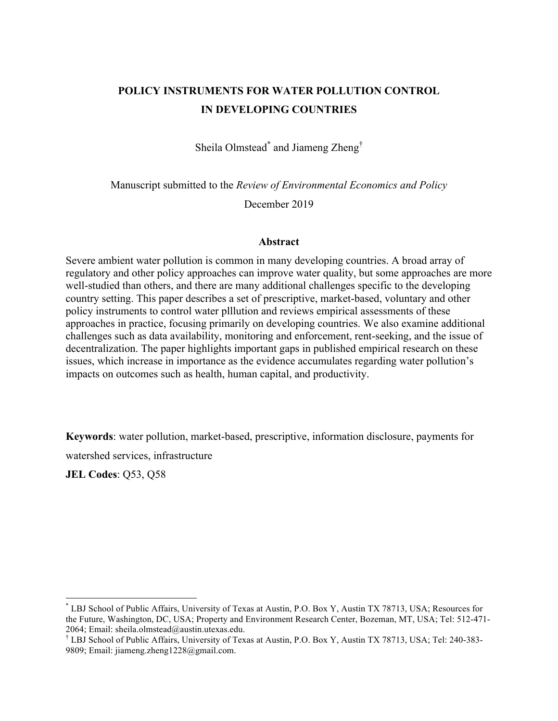# **POLICY INSTRUMENTS FOR WATER POLLUTION CONTROL IN DEVELOPING COUNTRIES**

Sheila Olmstead<sup>\*</sup> and Jiameng Zheng<sup>†</sup>

Manuscript submitted to the *Review of Environmental Economics and Policy*

December 2019

### **Abstract**

Severe ambient water pollution is common in many developing countries. A broad array of regulatory and other policy approaches can improve water quality, but some approaches are more well-studied than others, and there are many additional challenges specific to the developing country setting. This paper describes a set of prescriptive, market-based, voluntary and other policy instruments to control water plllution and reviews empirical assessments of these approaches in practice, focusing primarily on developing countries. We also examine additional challenges such as data availability, monitoring and enforcement, rent-seeking, and the issue of decentralization. The paper highlights important gaps in published empirical research on these issues, which increase in importance as the evidence accumulates regarding water pollution's impacts on outcomes such as health, human capital, and productivity.

**Keywords**: water pollution, market-based, prescriptive, information disclosure, payments for

watershed services, infrastructure

**JEL Codes**: Q53, Q58

 <sup>\*</sup> LBJ School of Public Affairs, University of Texas at Austin, P.O. Box Y, Austin TX 78713, USA; Resources for the Future, Washington, DC, USA; Property and Environment Research Center, Bozeman, MT, USA; Tel: 512-471- 2064; Email: sheila.olmstead@austin.utexas.edu.

<sup>†</sup> LBJ School of Public Affairs, University of Texas at Austin, P.O. Box Y, Austin TX 78713, USA; Tel: 240-383- 9809; Email: jiameng.zheng1228@gmail.com.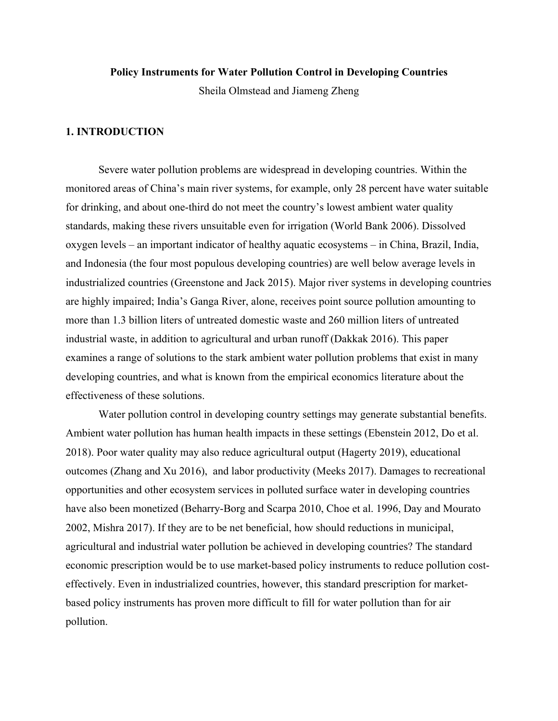#### **Policy Instruments for Water Pollution Control in Developing Countries**

Sheila Olmstead and Jiameng Zheng

# **1. INTRODUCTION**

Severe water pollution problems are widespread in developing countries. Within the monitored areas of China's main river systems, for example, only 28 percent have water suitable for drinking, and about one-third do not meet the country's lowest ambient water quality standards, making these rivers unsuitable even for irrigation (World Bank 2006). Dissolved oxygen levels – an important indicator of healthy aquatic ecosystems – in China, Brazil, India, and Indonesia (the four most populous developing countries) are well below average levels in industrialized countries (Greenstone and Jack 2015). Major river systems in developing countries are highly impaired; India's Ganga River, alone, receives point source pollution amounting to more than 1.3 billion liters of untreated domestic waste and 260 million liters of untreated industrial waste, in addition to agricultural and urban runoff (Dakkak 2016). This paper examines a range of solutions to the stark ambient water pollution problems that exist in many developing countries, and what is known from the empirical economics literature about the effectiveness of these solutions.

Water pollution control in developing country settings may generate substantial benefits. Ambient water pollution has human health impacts in these settings (Ebenstein 2012, Do et al. 2018). Poor water quality may also reduce agricultural output (Hagerty 2019), educational outcomes (Zhang and Xu 2016), and labor productivity (Meeks 2017). Damages to recreational opportunities and other ecosystem services in polluted surface water in developing countries have also been monetized (Beharry-Borg and Scarpa 2010, Choe et al. 1996, Day and Mourato 2002, Mishra 2017). If they are to be net beneficial, how should reductions in municipal, agricultural and industrial water pollution be achieved in developing countries? The standard economic prescription would be to use market-based policy instruments to reduce pollution costeffectively. Even in industrialized countries, however, this standard prescription for marketbased policy instruments has proven more difficult to fill for water pollution than for air pollution.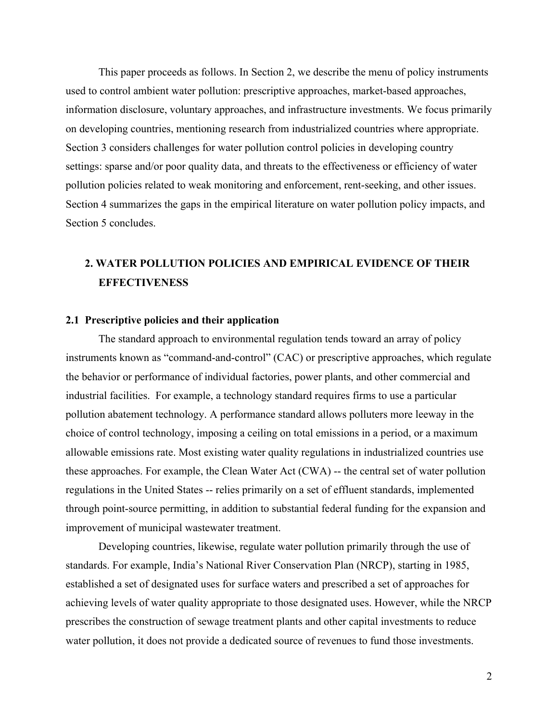This paper proceeds as follows. In Section 2, we describe the menu of policy instruments used to control ambient water pollution: prescriptive approaches, market-based approaches, information disclosure, voluntary approaches, and infrastructure investments. We focus primarily on developing countries, mentioning research from industrialized countries where appropriate. Section 3 considers challenges for water pollution control policies in developing country settings: sparse and/or poor quality data, and threats to the effectiveness or efficiency of water pollution policies related to weak monitoring and enforcement, rent-seeking, and other issues. Section 4 summarizes the gaps in the empirical literature on water pollution policy impacts, and Section 5 concludes.

# **2. WATER POLLUTION POLICIES AND EMPIRICAL EVIDENCE OF THEIR EFFECTIVENESS**

### **2.1 Prescriptive policies and their application**

The standard approach to environmental regulation tends toward an array of policy instruments known as "command-and-control" (CAC) or prescriptive approaches, which regulate the behavior or performance of individual factories, power plants, and other commercial and industrial facilities. For example, a technology standard requires firms to use a particular pollution abatement technology. A performance standard allows polluters more leeway in the choice of control technology, imposing a ceiling on total emissions in a period, or a maximum allowable emissions rate. Most existing water quality regulations in industrialized countries use these approaches. For example, the Clean Water Act (CWA) -- the central set of water pollution regulations in the United States -- relies primarily on a set of effluent standards, implemented through point-source permitting, in addition to substantial federal funding for the expansion and improvement of municipal wastewater treatment.

Developing countries, likewise, regulate water pollution primarily through the use of standards. For example, India's National River Conservation Plan (NRCP), starting in 1985, established a set of designated uses for surface waters and prescribed a set of approaches for achieving levels of water quality appropriate to those designated uses. However, while the NRCP prescribes the construction of sewage treatment plants and other capital investments to reduce water pollution, it does not provide a dedicated source of revenues to fund those investments.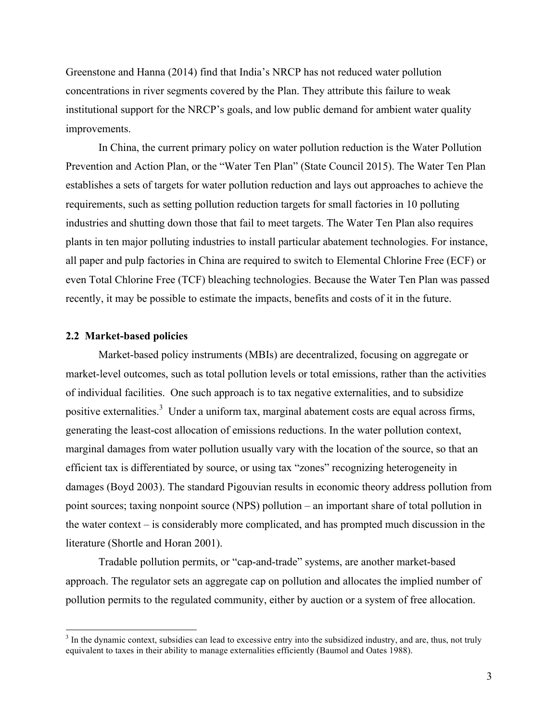Greenstone and Hanna (2014) find that India's NRCP has not reduced water pollution concentrations in river segments covered by the Plan. They attribute this failure to weak institutional support for the NRCP's goals, and low public demand for ambient water quality improvements.

In China, the current primary policy on water pollution reduction is the Water Pollution Prevention and Action Plan, or the "Water Ten Plan" (State Council 2015). The Water Ten Plan establishes a sets of targets for water pollution reduction and lays out approaches to achieve the requirements, such as setting pollution reduction targets for small factories in 10 polluting industries and shutting down those that fail to meet targets. The Water Ten Plan also requires plants in ten major polluting industries to install particular abatement technologies. For instance, all paper and pulp factories in China are required to switch to Elemental Chlorine Free (ECF) or even Total Chlorine Free (TCF) bleaching technologies. Because the Water Ten Plan was passed recently, it may be possible to estimate the impacts, benefits and costs of it in the future.

### **2.2 Market-based policies**

Market-based policy instruments (MBIs) are decentralized, focusing on aggregate or market-level outcomes, such as total pollution levels or total emissions, rather than the activities of individual facilities. One such approach is to tax negative externalities, and to subsidize positive externalities.<sup>3</sup> Under a uniform tax, marginal abatement costs are equal across firms, generating the least-cost allocation of emissions reductions. In the water pollution context, marginal damages from water pollution usually vary with the location of the source, so that an efficient tax is differentiated by source, or using tax "zones" recognizing heterogeneity in damages (Boyd 2003). The standard Pigouvian results in economic theory address pollution from point sources; taxing nonpoint source (NPS) pollution – an important share of total pollution in the water context – is considerably more complicated, and has prompted much discussion in the literature (Shortle and Horan 2001).

Tradable pollution permits, or "cap-and-trade" systems, are another market-based approach. The regulator sets an aggregate cap on pollution and allocates the implied number of pollution permits to the regulated community, either by auction or a system of free allocation.

<sup>&</sup>lt;sup>3</sup> In the dynamic context, subsidies can lead to excessive entry into the subsidized industry, and are, thus, not truly equivalent to taxes in their ability to manage externalities efficiently (Baumol and Oates 1988).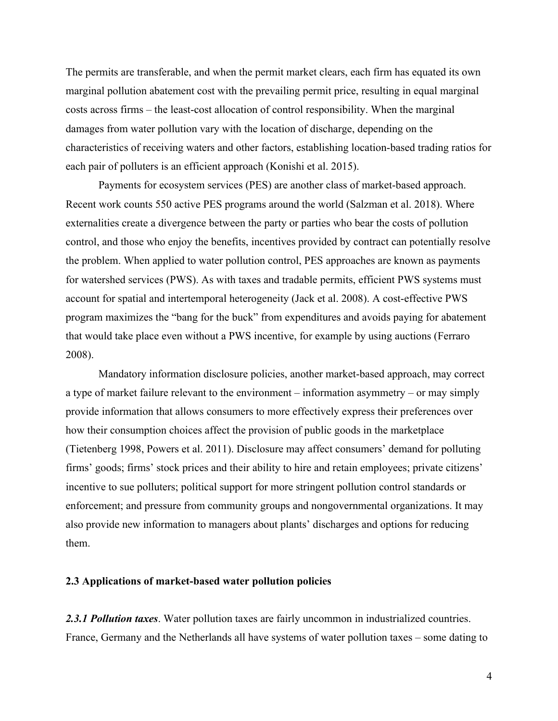The permits are transferable, and when the permit market clears, each firm has equated its own marginal pollution abatement cost with the prevailing permit price, resulting in equal marginal costs across firms – the least-cost allocation of control responsibility. When the marginal damages from water pollution vary with the location of discharge, depending on the characteristics of receiving waters and other factors, establishing location-based trading ratios for each pair of polluters is an efficient approach (Konishi et al. 2015).

Payments for ecosystem services (PES) are another class of market-based approach. Recent work counts 550 active PES programs around the world (Salzman et al. 2018). Where externalities create a divergence between the party or parties who bear the costs of pollution control, and those who enjoy the benefits, incentives provided by contract can potentially resolve the problem. When applied to water pollution control, PES approaches are known as payments for watershed services (PWS). As with taxes and tradable permits, efficient PWS systems must account for spatial and intertemporal heterogeneity (Jack et al. 2008). A cost-effective PWS program maximizes the "bang for the buck" from expenditures and avoids paying for abatement that would take place even without a PWS incentive, for example by using auctions (Ferraro 2008).

Mandatory information disclosure policies, another market-based approach, may correct a type of market failure relevant to the environment – information asymmetry – or may simply provide information that allows consumers to more effectively express their preferences over how their consumption choices affect the provision of public goods in the marketplace (Tietenberg 1998, Powers et al. 2011). Disclosure may affect consumers' demand for polluting firms' goods; firms' stock prices and their ability to hire and retain employees; private citizens' incentive to sue polluters; political support for more stringent pollution control standards or enforcement; and pressure from community groups and nongovernmental organizations. It may also provide new information to managers about plants' discharges and options for reducing them.

# **2.3 Applications of market-based water pollution policies**

*2.3.1 Pollution taxes*. Water pollution taxes are fairly uncommon in industrialized countries. France, Germany and the Netherlands all have systems of water pollution taxes – some dating to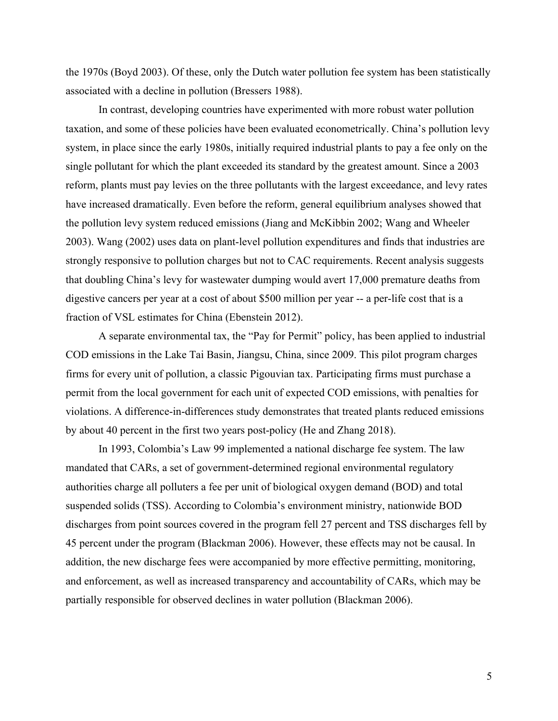the 1970s (Boyd 2003). Of these, only the Dutch water pollution fee system has been statistically associated with a decline in pollution (Bressers 1988).

In contrast, developing countries have experimented with more robust water pollution taxation, and some of these policies have been evaluated econometrically. China's pollution levy system, in place since the early 1980s, initially required industrial plants to pay a fee only on the single pollutant for which the plant exceeded its standard by the greatest amount. Since a 2003 reform, plants must pay levies on the three pollutants with the largest exceedance, and levy rates have increased dramatically. Even before the reform, general equilibrium analyses showed that the pollution levy system reduced emissions (Jiang and McKibbin 2002; Wang and Wheeler 2003). Wang (2002) uses data on plant-level pollution expenditures and finds that industries are strongly responsive to pollution charges but not to CAC requirements. Recent analysis suggests that doubling China's levy for wastewater dumping would avert 17,000 premature deaths from digestive cancers per year at a cost of about \$500 million per year -- a per-life cost that is a fraction of VSL estimates for China (Ebenstein 2012).

A separate environmental tax, the "Pay for Permit" policy, has been applied to industrial COD emissions in the Lake Tai Basin, Jiangsu, China, since 2009. This pilot program charges firms for every unit of pollution, a classic Pigouvian tax. Participating firms must purchase a permit from the local government for each unit of expected COD emissions, with penalties for violations. A difference-in-differences study demonstrates that treated plants reduced emissions by about 40 percent in the first two years post-policy (He and Zhang 2018).

In 1993, Colombia's Law 99 implemented a national discharge fee system. The law mandated that CARs, a set of government-determined regional environmental regulatory authorities charge all polluters a fee per unit of biological oxygen demand (BOD) and total suspended solids (TSS). According to Colombia's environment ministry, nationwide BOD discharges from point sources covered in the program fell 27 percent and TSS discharges fell by 45 percent under the program (Blackman 2006). However, these effects may not be causal. In addition, the new discharge fees were accompanied by more effective permitting, monitoring, and enforcement, as well as increased transparency and accountability of CARs, which may be partially responsible for observed declines in water pollution (Blackman 2006).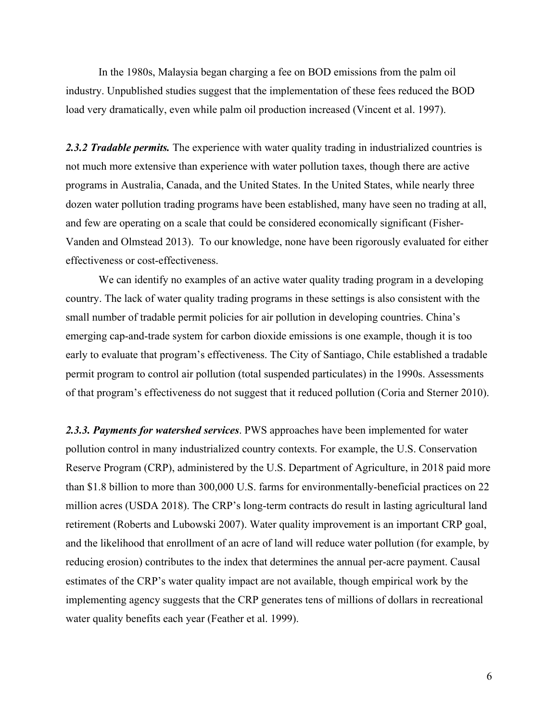In the 1980s, Malaysia began charging a fee on BOD emissions from the palm oil industry. Unpublished studies suggest that the implementation of these fees reduced the BOD load very dramatically, even while palm oil production increased (Vincent et al. 1997).

2.3.2 Tradable permits. The experience with water quality trading in industrialized countries is not much more extensive than experience with water pollution taxes, though there are active programs in Australia, Canada, and the United States. In the United States, while nearly three dozen water pollution trading programs have been established, many have seen no trading at all, and few are operating on a scale that could be considered economically significant (Fisher-Vanden and Olmstead 2013). To our knowledge, none have been rigorously evaluated for either effectiveness or cost-effectiveness.

We can identify no examples of an active water quality trading program in a developing country. The lack of water quality trading programs in these settings is also consistent with the small number of tradable permit policies for air pollution in developing countries. China's emerging cap-and-trade system for carbon dioxide emissions is one example, though it is too early to evaluate that program's effectiveness. The City of Santiago, Chile established a tradable permit program to control air pollution (total suspended particulates) in the 1990s. Assessments of that program's effectiveness do not suggest that it reduced pollution (Coria and Sterner 2010).

*2.3.3. Payments for watershed services*. PWS approaches have been implemented for water pollution control in many industrialized country contexts. For example, the U.S. Conservation Reserve Program (CRP), administered by the U.S. Department of Agriculture, in 2018 paid more than \$1.8 billion to more than 300,000 U.S. farms for environmentally-beneficial practices on 22 million acres (USDA 2018). The CRP's long-term contracts do result in lasting agricultural land retirement (Roberts and Lubowski 2007). Water quality improvement is an important CRP goal, and the likelihood that enrollment of an acre of land will reduce water pollution (for example, by reducing erosion) contributes to the index that determines the annual per-acre payment. Causal estimates of the CRP's water quality impact are not available, though empirical work by the implementing agency suggests that the CRP generates tens of millions of dollars in recreational water quality benefits each year (Feather et al. 1999).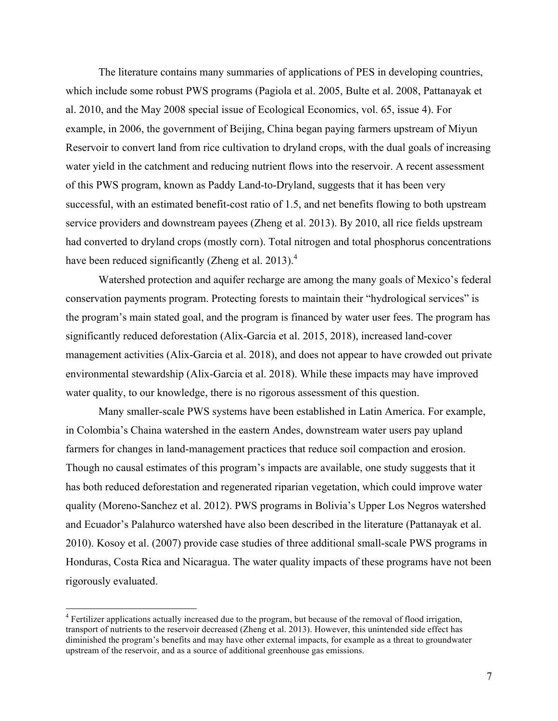The literature contains many summaries of applications of PES in developing countries, which include some robust PWS programs (Pagiola et al. 2005, Bulte et al. 2008, Pattanayak et al. 2010, and the May 2008 special issue of Ecological Economics, vol. 65, issue 4). For example, in 2006, the government of Beijing, China began paying farmers upstream of Miyun Reservoir to convert land from rice cultivation to dryland crops, with the dual goals of increasing water yield in the catchment and reducing nutrient flows into the reservoir. A recent assessment of this PWS program, known as Paddy Land-to-Dryland, suggests that it has been very successful, with an estimated benefit-cost ratio of 1.5, and net benefits flowing to both upstream service providers and downstream payees (Zheng et al. 2013). By 2010, all rice fields upstream had converted to dryland crops (mostly corn). Total nitrogen and total phosphorus concentrations have been reduced significantly (Zheng et al. 2013).<sup>4</sup>

Watershed protection and aquifer recharge are among the many goals of Mexico's federal conservation payments program. Protecting forests to maintain their "hydrological services" is the program's main stated goal, and the program is financed by water user fees. The program has significantly reduced deforestation (Alix-Garcia et al. 2015, 2018), increased land-cover management activities (Alix-Garcia et al. 2018), and does not appear to have crowded out private environmental stewardship (Alix-Garcia et al. 2018). While these impacts may have improved water quality, to our knowledge, there is no rigorous assessment of this question.

Many smaller-scale PWS systems have been established in Latin America. For example, in Colombia's Chaina watershed in the eastern Andes, downstream water users pay upland farmers for changes in land-management practices that reduce soil compaction and erosion. Though no causal estimates of this program's impacts are available, one study suggests that it has both reduced deforestation and regenerated riparian vegetation, which could improve water quality (Moreno-Sanchez et al. 2012). PWS programs in Bolivia's Upper Los Negros watershed and Ecuador's Palahurco watershed have also been described in the literature (Pattanayak et al. 2010). Kosoy et al. (2007) provide case studies of three additional small-scale PWS programs in Honduras, Costa Rica and Nicaragua. The water quality impacts of these programs have not been rigorously evaluated.

<sup>&</sup>lt;sup>4</sup> Fertilizer applications actually increased due to the program, but because of the removal of flood irrigation, transport of nutrients to the reservoir decreased (Zheng et al. 2013). However, this unintended side effect has diminished the program's benefits and may have other external impacts, for example as a threat to groundwater upstream of the reservoir, and as a source of additional greenhouse gas emissions.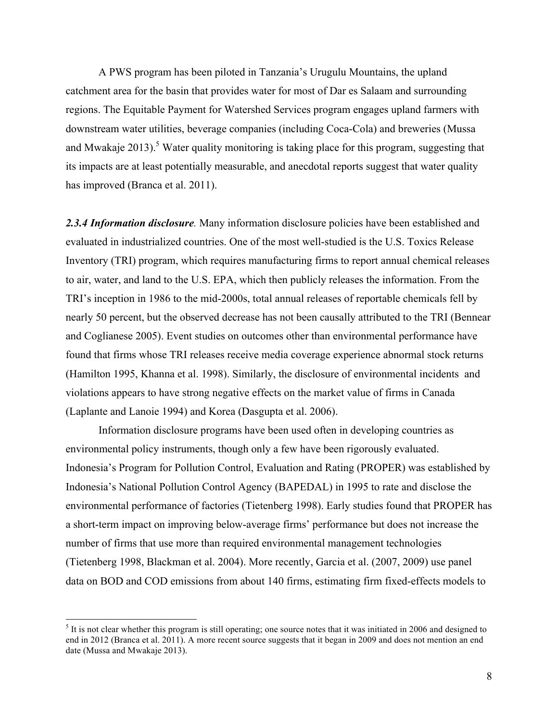A PWS program has been piloted in Tanzania's Urugulu Mountains, the upland catchment area for the basin that provides water for most of Dar es Salaam and surrounding regions. The Equitable Payment for Watershed Services program engages upland farmers with downstream water utilities, beverage companies (including Coca-Cola) and breweries (Mussa and Mwakaje 2013).<sup>5</sup> Water quality monitoring is taking place for this program, suggesting that its impacts are at least potentially measurable, and anecdotal reports suggest that water quality has improved (Branca et al. 2011).

*2.3.4 Information disclosure.* Many information disclosure policies have been established and evaluated in industrialized countries. One of the most well-studied is the U.S. Toxics Release Inventory (TRI) program, which requires manufacturing firms to report annual chemical releases to air, water, and land to the U.S. EPA, which then publicly releases the information. From the TRI's inception in 1986 to the mid-2000s, total annual releases of reportable chemicals fell by nearly 50 percent, but the observed decrease has not been causally attributed to the TRI (Bennear and Coglianese 2005). Event studies on outcomes other than environmental performance have found that firms whose TRI releases receive media coverage experience abnormal stock returns (Hamilton 1995, Khanna et al. 1998). Similarly, the disclosure of environmental incidents and violations appears to have strong negative effects on the market value of firms in Canada (Laplante and Lanoie 1994) and Korea (Dasgupta et al. 2006).

Information disclosure programs have been used often in developing countries as environmental policy instruments, though only a few have been rigorously evaluated. Indonesia's Program for Pollution Control, Evaluation and Rating (PROPER) was established by Indonesia's National Pollution Control Agency (BAPEDAL) in 1995 to rate and disclose the environmental performance of factories (Tietenberg 1998). Early studies found that PROPER has a short-term impact on improving below-average firms' performance but does not increase the number of firms that use more than required environmental management technologies (Tietenberg 1998, Blackman et al. 2004). More recently, Garcia et al. (2007, 2009) use panel data on BOD and COD emissions from about 140 firms, estimating firm fixed-effects models to

 $<sup>5</sup>$  It is not clear whether this program is still operating; one source notes that it was initiated in 2006 and designed to</sup> end in 2012 (Branca et al. 2011). A more recent source suggests that it began in 2009 and does not mention an end date (Mussa and Mwakaje 2013).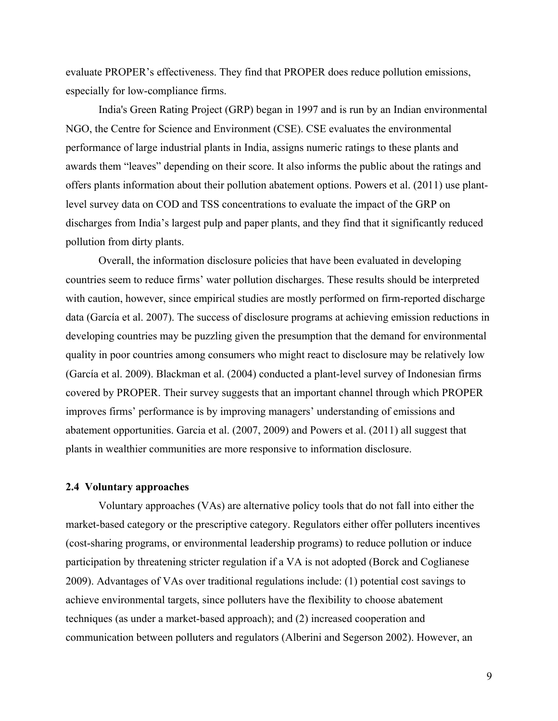evaluate PROPER's effectiveness. They find that PROPER does reduce pollution emissions, especially for low-compliance firms.

India's Green Rating Project (GRP) began in 1997 and is run by an Indian environmental NGO, the Centre for Science and Environment (CSE). CSE evaluates the environmental performance of large industrial plants in India, assigns numeric ratings to these plants and awards them "leaves" depending on their score. It also informs the public about the ratings and offers plants information about their pollution abatement options. Powers et al. (2011) use plantlevel survey data on COD and TSS concentrations to evaluate the impact of the GRP on discharges from India's largest pulp and paper plants, and they find that it significantly reduced pollution from dirty plants.

Overall, the information disclosure policies that have been evaluated in developing countries seem to reduce firms' water pollution discharges. These results should be interpreted with caution, however, since empirical studies are mostly performed on firm-reported discharge data (García et al. 2007). The success of disclosure programs at achieving emission reductions in developing countries may be puzzling given the presumption that the demand for environmental quality in poor countries among consumers who might react to disclosure may be relatively low (García et al. 2009). Blackman et al. (2004) conducted a plant-level survey of Indonesian firms covered by PROPER. Their survey suggests that an important channel through which PROPER improves firms' performance is by improving managers' understanding of emissions and abatement opportunities. Garcia et al. (2007, 2009) and Powers et al. (2011) all suggest that plants in wealthier communities are more responsive to information disclosure.

### **2.4 Voluntary approaches**

Voluntary approaches (VAs) are alternative policy tools that do not fall into either the market-based category or the prescriptive category. Regulators either offer polluters incentives (cost-sharing programs, or environmental leadership programs) to reduce pollution or induce participation by threatening stricter regulation if a VA is not adopted (Borck and Coglianese 2009). Advantages of VAs over traditional regulations include: (1) potential cost savings to achieve environmental targets, since polluters have the flexibility to choose abatement techniques (as under a market-based approach); and (2) increased cooperation and communication between polluters and regulators (Alberini and Segerson 2002). However, an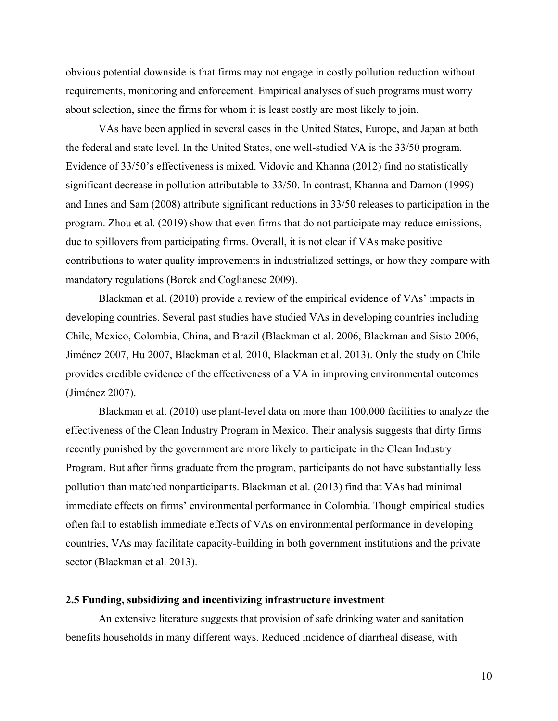obvious potential downside is that firms may not engage in costly pollution reduction without requirements, monitoring and enforcement. Empirical analyses of such programs must worry about selection, since the firms for whom it is least costly are most likely to join.

VAs have been applied in several cases in the United States, Europe, and Japan at both the federal and state level. In the United States, one well-studied VA is the 33/50 program. Evidence of 33/50's effectiveness is mixed. Vidovic and Khanna (2012) find no statistically significant decrease in pollution attributable to 33/50. In contrast, Khanna and Damon (1999) and Innes and Sam (2008) attribute significant reductions in 33/50 releases to participation in the program. Zhou et al. (2019) show that even firms that do not participate may reduce emissions, due to spillovers from participating firms. Overall, it is not clear if VAs make positive contributions to water quality improvements in industrialized settings, or how they compare with mandatory regulations (Borck and Coglianese 2009).

Blackman et al. (2010) provide a review of the empirical evidence of VAs' impacts in developing countries. Several past studies have studied VAs in developing countries including Chile, Mexico, Colombia, China, and Brazil (Blackman et al. 2006, Blackman and Sisto 2006, Jiménez 2007, Hu 2007, Blackman et al. 2010, Blackman et al. 2013). Only the study on Chile provides credible evidence of the effectiveness of a VA in improving environmental outcomes (Jiménez 2007).

Blackman et al. (2010) use plant-level data on more than 100,000 facilities to analyze the effectiveness of the Clean Industry Program in Mexico. Their analysis suggests that dirty firms recently punished by the government are more likely to participate in the Clean Industry Program. But after firms graduate from the program, participants do not have substantially less pollution than matched nonparticipants. Blackman et al. (2013) find that VAs had minimal immediate effects on firms' environmental performance in Colombia. Though empirical studies often fail to establish immediate effects of VAs on environmental performance in developing countries, VAs may facilitate capacity-building in both government institutions and the private sector (Blackman et al. 2013).

### **2.5 Funding, subsidizing and incentivizing infrastructure investment**

An extensive literature suggests that provision of safe drinking water and sanitation benefits households in many different ways. Reduced incidence of diarrheal disease, with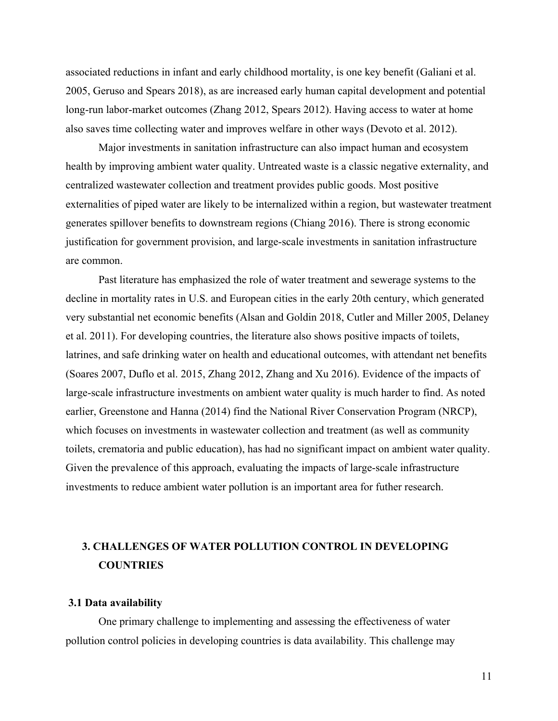associated reductions in infant and early childhood mortality, is one key benefit (Galiani et al. 2005, Geruso and Spears 2018), as are increased early human capital development and potential long-run labor-market outcomes (Zhang 2012, Spears 2012). Having access to water at home also saves time collecting water and improves welfare in other ways (Devoto et al. 2012).

Major investments in sanitation infrastructure can also impact human and ecosystem health by improving ambient water quality. Untreated waste is a classic negative externality, and centralized wastewater collection and treatment provides public goods. Most positive externalities of piped water are likely to be internalized within a region, but wastewater treatment generates spillover benefits to downstream regions (Chiang 2016). There is strong economic justification for government provision, and large-scale investments in sanitation infrastructure are common.

Past literature has emphasized the role of water treatment and sewerage systems to the decline in mortality rates in U.S. and European cities in the early 20th century, which generated very substantial net economic benefits (Alsan and Goldin 2018, Cutler and Miller 2005, Delaney et al. 2011). For developing countries, the literature also shows positive impacts of toilets, latrines, and safe drinking water on health and educational outcomes, with attendant net benefits (Soares 2007, Duflo et al. 2015, Zhang 2012, Zhang and Xu 2016). Evidence of the impacts of large-scale infrastructure investments on ambient water quality is much harder to find. As noted earlier, Greenstone and Hanna (2014) find the National River Conservation Program (NRCP), which focuses on investments in wastewater collection and treatment (as well as community toilets, crematoria and public education), has had no significant impact on ambient water quality. Given the prevalence of this approach, evaluating the impacts of large-scale infrastructure investments to reduce ambient water pollution is an important area for futher research.

# **3. CHALLENGES OF WATER POLLUTION CONTROL IN DEVELOPING COUNTRIES**

#### **3.1 Data availability**

One primary challenge to implementing and assessing the effectiveness of water pollution control policies in developing countries is data availability. This challenge may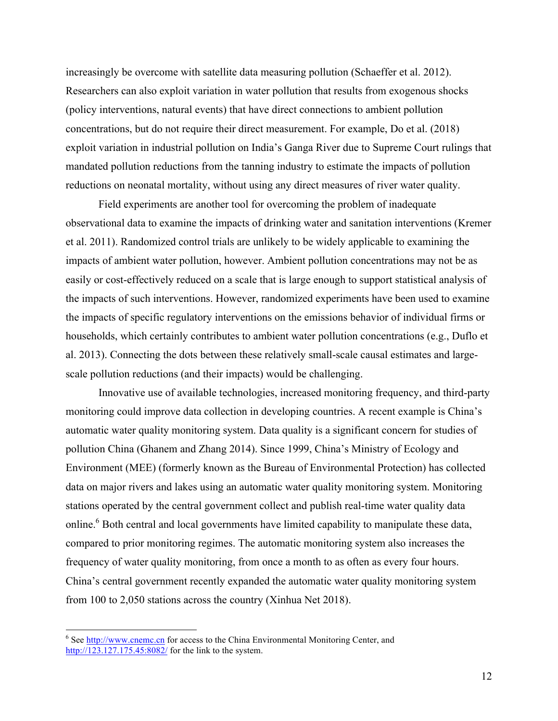increasingly be overcome with satellite data measuring pollution (Schaeffer et al. 2012). Researchers can also exploit variation in water pollution that results from exogenous shocks (policy interventions, natural events) that have direct connections to ambient pollution concentrations, but do not require their direct measurement. For example, Do et al. (2018) exploit variation in industrial pollution on India's Ganga River due to Supreme Court rulings that mandated pollution reductions from the tanning industry to estimate the impacts of pollution reductions on neonatal mortality, without using any direct measures of river water quality.

Field experiments are another tool for overcoming the problem of inadequate observational data to examine the impacts of drinking water and sanitation interventions (Kremer et al. 2011). Randomized control trials are unlikely to be widely applicable to examining the impacts of ambient water pollution, however. Ambient pollution concentrations may not be as easily or cost-effectively reduced on a scale that is large enough to support statistical analysis of the impacts of such interventions. However, randomized experiments have been used to examine the impacts of specific regulatory interventions on the emissions behavior of individual firms or households, which certainly contributes to ambient water pollution concentrations (e.g., Duflo et al. 2013). Connecting the dots between these relatively small-scale causal estimates and largescale pollution reductions (and their impacts) would be challenging.

Innovative use of available technologies, increased monitoring frequency, and third-party monitoring could improve data collection in developing countries. A recent example is China's automatic water quality monitoring system. Data quality is a significant concern for studies of pollution China (Ghanem and Zhang 2014). Since 1999, China's Ministry of Ecology and Environment (MEE) (formerly known as the Bureau of Environmental Protection) has collected data on major rivers and lakes using an automatic water quality monitoring system. Monitoring stations operated by the central government collect and publish real-time water quality data online.<sup>6</sup> Both central and local governments have limited capability to manipulate these data, compared to prior monitoring regimes. The automatic monitoring system also increases the frequency of water quality monitoring, from once a month to as often as every four hours. China's central government recently expanded the automatic water quality monitoring system from 100 to 2,050 stations across the country (Xinhua Net 2018).

 $6$  See  $\frac{http://www.cneme.cn}{http://www.cneme.cn}$  for access to the China Environmental Monitoring Center, and http://123.127.175.45:8082/ for the link to the system.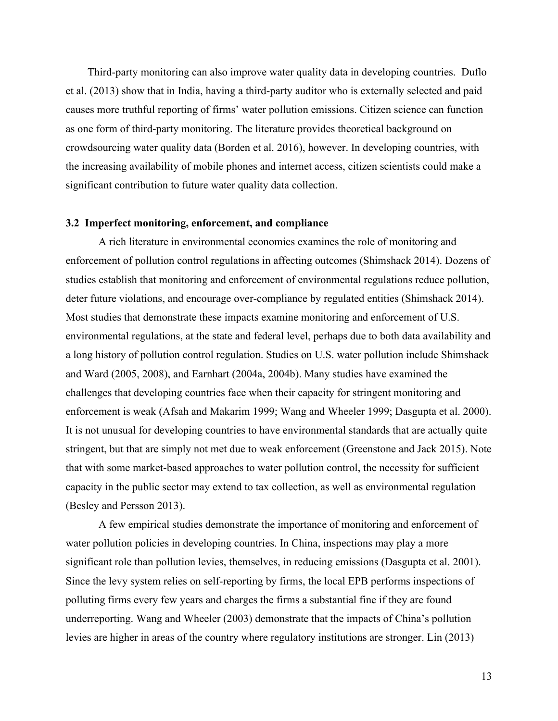Third-party monitoring can also improve water quality data in developing countries. Duflo et al. (2013) show that in India, having a third-party auditor who is externally selected and paid causes more truthful reporting of firms' water pollution emissions. Citizen science can function as one form of third-party monitoring. The literature provides theoretical background on crowdsourcing water quality data (Borden et al. 2016), however. In developing countries, with the increasing availability of mobile phones and internet access, citizen scientists could make a significant contribution to future water quality data collection.

#### **3.2 Imperfect monitoring, enforcement, and compliance**

A rich literature in environmental economics examines the role of monitoring and enforcement of pollution control regulations in affecting outcomes (Shimshack 2014). Dozens of studies establish that monitoring and enforcement of environmental regulations reduce pollution, deter future violations, and encourage over-compliance by regulated entities (Shimshack 2014). Most studies that demonstrate these impacts examine monitoring and enforcement of U.S. environmental regulations, at the state and federal level, perhaps due to both data availability and a long history of pollution control regulation. Studies on U.S. water pollution include Shimshack and Ward (2005, 2008), and Earnhart (2004a, 2004b). Many studies have examined the challenges that developing countries face when their capacity for stringent monitoring and enforcement is weak (Afsah and Makarim 1999; Wang and Wheeler 1999; Dasgupta et al. 2000). It is not unusual for developing countries to have environmental standards that are actually quite stringent, but that are simply not met due to weak enforcement (Greenstone and Jack 2015). Note that with some market-based approaches to water pollution control, the necessity for sufficient capacity in the public sector may extend to tax collection, as well as environmental regulation (Besley and Persson 2013).

A few empirical studies demonstrate the importance of monitoring and enforcement of water pollution policies in developing countries. In China, inspections may play a more significant role than pollution levies, themselves, in reducing emissions (Dasgupta et al. 2001). Since the levy system relies on self-reporting by firms, the local EPB performs inspections of polluting firms every few years and charges the firms a substantial fine if they are found underreporting. Wang and Wheeler (2003) demonstrate that the impacts of China's pollution levies are higher in areas of the country where regulatory institutions are stronger. Lin (2013)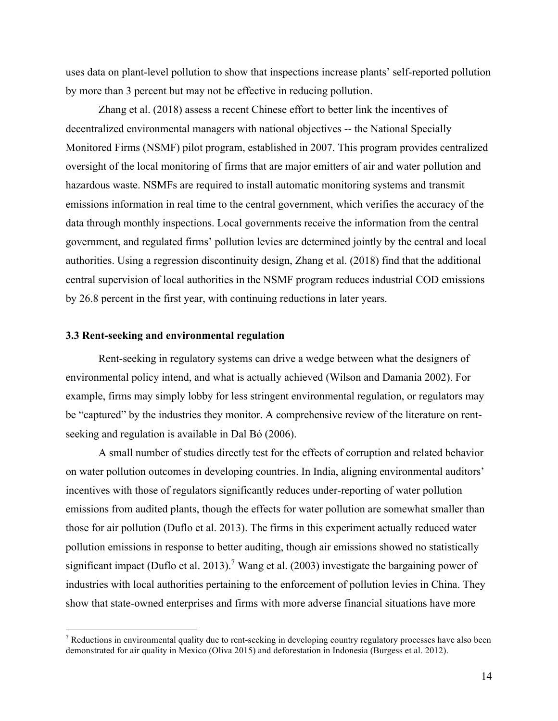uses data on plant-level pollution to show that inspections increase plants' self-reported pollution by more than 3 percent but may not be effective in reducing pollution.

Zhang et al. (2018) assess a recent Chinese effort to better link the incentives of decentralized environmental managers with national objectives -- the National Specially Monitored Firms (NSMF) pilot program, established in 2007. This program provides centralized oversight of the local monitoring of firms that are major emitters of air and water pollution and hazardous waste. NSMFs are required to install automatic monitoring systems and transmit emissions information in real time to the central government, which verifies the accuracy of the data through monthly inspections. Local governments receive the information from the central government, and regulated firms' pollution levies are determined jointly by the central and local authorities. Using a regression discontinuity design, Zhang et al. (2018) find that the additional central supervision of local authorities in the NSMF program reduces industrial COD emissions by 26.8 percent in the first year, with continuing reductions in later years.

# **3.3 Rent-seeking and environmental regulation**

Rent-seeking in regulatory systems can drive a wedge between what the designers of environmental policy intend, and what is actually achieved (Wilson and Damania 2002). For example, firms may simply lobby for less stringent environmental regulation, or regulators may be "captured" by the industries they monitor. A comprehensive review of the literature on rentseeking and regulation is available in Dal Bó (2006).

A small number of studies directly test for the effects of corruption and related behavior on water pollution outcomes in developing countries. In India, aligning environmental auditors' incentives with those of regulators significantly reduces under-reporting of water pollution emissions from audited plants, though the effects for water pollution are somewhat smaller than those for air pollution (Duflo et al. 2013). The firms in this experiment actually reduced water pollution emissions in response to better auditing, though air emissions showed no statistically significant impact (Duflo et al. 2013).<sup>7</sup> Wang et al. (2003) investigate the bargaining power of industries with local authorities pertaining to the enforcement of pollution levies in China. They show that state-owned enterprises and firms with more adverse financial situations have more

 $<sup>7</sup>$  Reductions in environmental quality due to rent-seeking in developing country regulatory processes have also been</sup> demonstrated for air quality in Mexico (Oliva 2015) and deforestation in Indonesia (Burgess et al. 2012).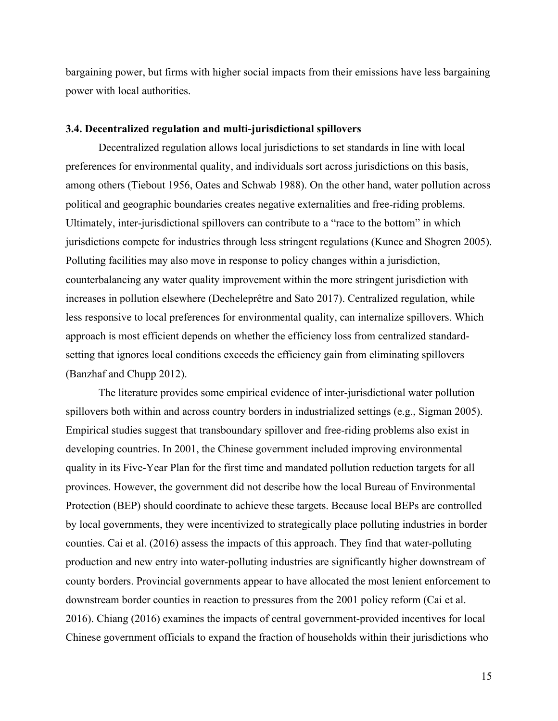bargaining power, but firms with higher social impacts from their emissions have less bargaining power with local authorities.

#### **3.4. Decentralized regulation and multi-jurisdictional spillovers**

Decentralized regulation allows local jurisdictions to set standards in line with local preferences for environmental quality, and individuals sort across jurisdictions on this basis, among others (Tiebout 1956, Oates and Schwab 1988). On the other hand, water pollution across political and geographic boundaries creates negative externalities and free-riding problems. Ultimately, inter-jurisdictional spillovers can contribute to a "race to the bottom" in which jurisdictions compete for industries through less stringent regulations (Kunce and Shogren 2005). Polluting facilities may also move in response to policy changes within a jurisdiction, counterbalancing any water quality improvement within the more stringent jurisdiction with increases in pollution elsewhere (Decheleprêtre and Sato 2017). Centralized regulation, while less responsive to local preferences for environmental quality, can internalize spillovers. Which approach is most efficient depends on whether the efficiency loss from centralized standardsetting that ignores local conditions exceeds the efficiency gain from eliminating spillovers (Banzhaf and Chupp 2012).

The literature provides some empirical evidence of inter-jurisdictional water pollution spillovers both within and across country borders in industrialized settings (e.g., Sigman 2005). Empirical studies suggest that transboundary spillover and free-riding problems also exist in developing countries. In 2001, the Chinese government included improving environmental quality in its Five-Year Plan for the first time and mandated pollution reduction targets for all provinces. However, the government did not describe how the local Bureau of Environmental Protection (BEP) should coordinate to achieve these targets. Because local BEPs are controlled by local governments, they were incentivized to strategically place polluting industries in border counties. Cai et al. (2016) assess the impacts of this approach. They find that water-polluting production and new entry into water-polluting industries are significantly higher downstream of county borders. Provincial governments appear to have allocated the most lenient enforcement to downstream border counties in reaction to pressures from the 2001 policy reform (Cai et al. 2016). Chiang (2016) examines the impacts of central government-provided incentives for local Chinese government officials to expand the fraction of households within their jurisdictions who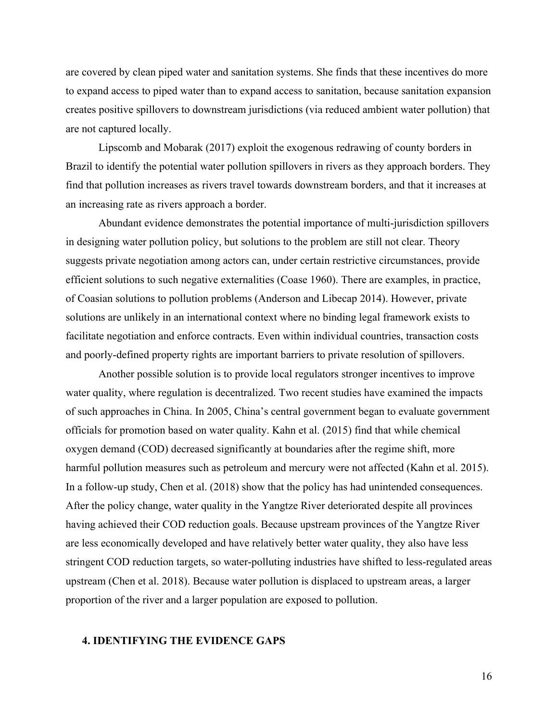are covered by clean piped water and sanitation systems. She finds that these incentives do more to expand access to piped water than to expand access to sanitation, because sanitation expansion creates positive spillovers to downstream jurisdictions (via reduced ambient water pollution) that are not captured locally.

Lipscomb and Mobarak (2017) exploit the exogenous redrawing of county borders in Brazil to identify the potential water pollution spillovers in rivers as they approach borders. They find that pollution increases as rivers travel towards downstream borders, and that it increases at an increasing rate as rivers approach a border.

Abundant evidence demonstrates the potential importance of multi-jurisdiction spillovers in designing water pollution policy, but solutions to the problem are still not clear. Theory suggests private negotiation among actors can, under certain restrictive circumstances, provide efficient solutions to such negative externalities (Coase 1960). There are examples, in practice, of Coasian solutions to pollution problems (Anderson and Libecap 2014). However, private solutions are unlikely in an international context where no binding legal framework exists to facilitate negotiation and enforce contracts. Even within individual countries, transaction costs and poorly-defined property rights are important barriers to private resolution of spillovers.

Another possible solution is to provide local regulators stronger incentives to improve water quality, where regulation is decentralized. Two recent studies have examined the impacts of such approaches in China. In 2005, China's central government began to evaluate government officials for promotion based on water quality. Kahn et al. (2015) find that while chemical oxygen demand (COD) decreased significantly at boundaries after the regime shift, more harmful pollution measures such as petroleum and mercury were not affected (Kahn et al. 2015). In a follow-up study, Chen et al. (2018) show that the policy has had unintended consequences. After the policy change, water quality in the Yangtze River deteriorated despite all provinces having achieved their COD reduction goals. Because upstream provinces of the Yangtze River are less economically developed and have relatively better water quality, they also have less stringent COD reduction targets, so water-polluting industries have shifted to less-regulated areas upstream (Chen et al. 2018). Because water pollution is displaced to upstream areas, a larger proportion of the river and a larger population are exposed to pollution.

# **4. IDENTIFYING THE EVIDENCE GAPS**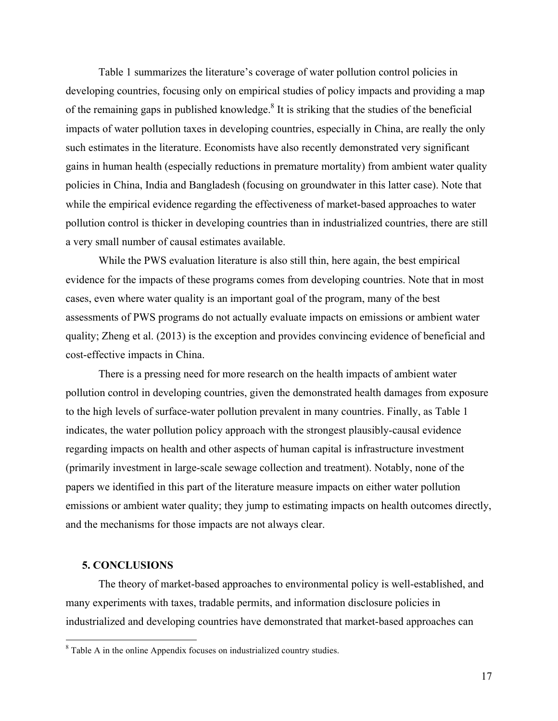Table 1 summarizes the literature's coverage of water pollution control policies in developing countries, focusing only on empirical studies of policy impacts and providing a map of the remaining gaps in published knowledge. $8$  It is striking that the studies of the beneficial impacts of water pollution taxes in developing countries, especially in China, are really the only such estimates in the literature. Economists have also recently demonstrated very significant gains in human health (especially reductions in premature mortality) from ambient water quality policies in China, India and Bangladesh (focusing on groundwater in this latter case). Note that while the empirical evidence regarding the effectiveness of market-based approaches to water pollution control is thicker in developing countries than in industrialized countries, there are still a very small number of causal estimates available.

While the PWS evaluation literature is also still thin, here again, the best empirical evidence for the impacts of these programs comes from developing countries. Note that in most cases, even where water quality is an important goal of the program, many of the best assessments of PWS programs do not actually evaluate impacts on emissions or ambient water quality; Zheng et al. (2013) is the exception and provides convincing evidence of beneficial and cost-effective impacts in China.

There is a pressing need for more research on the health impacts of ambient water pollution control in developing countries, given the demonstrated health damages from exposure to the high levels of surface-water pollution prevalent in many countries. Finally, as Table 1 indicates, the water pollution policy approach with the strongest plausibly-causal evidence regarding impacts on health and other aspects of human capital is infrastructure investment (primarily investment in large-scale sewage collection and treatment). Notably, none of the papers we identified in this part of the literature measure impacts on either water pollution emissions or ambient water quality; they jump to estimating impacts on health outcomes directly, and the mechanisms for those impacts are not always clear.

### **5. CONCLUSIONS**

The theory of market-based approaches to environmental policy is well-established, and many experiments with taxes, tradable permits, and information disclosure policies in industrialized and developing countries have demonstrated that market-based approaches can

 <sup>8</sup> Table A in the online Appendix focuses on industrialized country studies.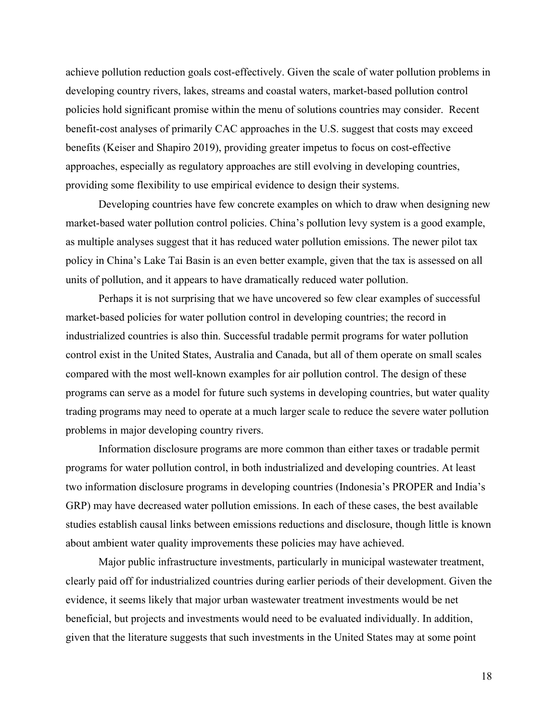achieve pollution reduction goals cost-effectively. Given the scale of water pollution problems in developing country rivers, lakes, streams and coastal waters, market-based pollution control policies hold significant promise within the menu of solutions countries may consider. Recent benefit-cost analyses of primarily CAC approaches in the U.S. suggest that costs may exceed benefits (Keiser and Shapiro 2019), providing greater impetus to focus on cost-effective approaches, especially as regulatory approaches are still evolving in developing countries, providing some flexibility to use empirical evidence to design their systems.

Developing countries have few concrete examples on which to draw when designing new market-based water pollution control policies. China's pollution levy system is a good example, as multiple analyses suggest that it has reduced water pollution emissions. The newer pilot tax policy in China's Lake Tai Basin is an even better example, given that the tax is assessed on all units of pollution, and it appears to have dramatically reduced water pollution.

Perhaps it is not surprising that we have uncovered so few clear examples of successful market-based policies for water pollution control in developing countries; the record in industrialized countries is also thin. Successful tradable permit programs for water pollution control exist in the United States, Australia and Canada, but all of them operate on small scales compared with the most well-known examples for air pollution control. The design of these programs can serve as a model for future such systems in developing countries, but water quality trading programs may need to operate at a much larger scale to reduce the severe water pollution problems in major developing country rivers.

Information disclosure programs are more common than either taxes or tradable permit programs for water pollution control, in both industrialized and developing countries. At least two information disclosure programs in developing countries (Indonesia's PROPER and India's GRP) may have decreased water pollution emissions. In each of these cases, the best available studies establish causal links between emissions reductions and disclosure, though little is known about ambient water quality improvements these policies may have achieved.

Major public infrastructure investments, particularly in municipal wastewater treatment, clearly paid off for industrialized countries during earlier periods of their development. Given the evidence, it seems likely that major urban wastewater treatment investments would be net beneficial, but projects and investments would need to be evaluated individually. In addition, given that the literature suggests that such investments in the United States may at some point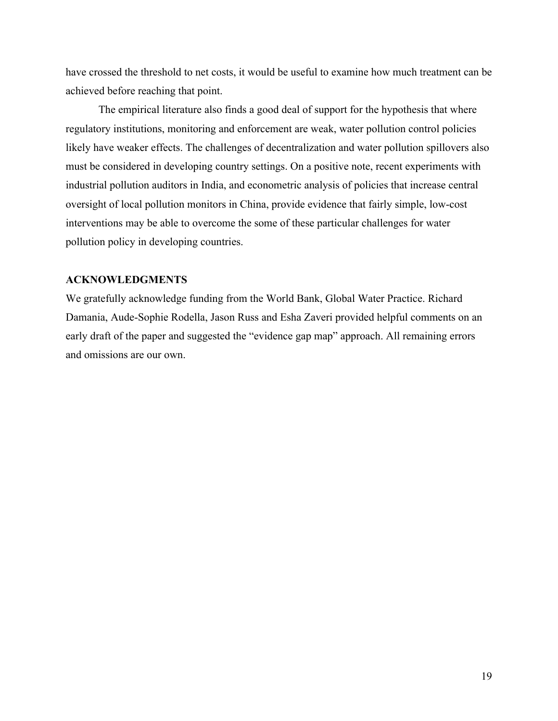have crossed the threshold to net costs, it would be useful to examine how much treatment can be achieved before reaching that point.

The empirical literature also finds a good deal of support for the hypothesis that where regulatory institutions, monitoring and enforcement are weak, water pollution control policies likely have weaker effects. The challenges of decentralization and water pollution spillovers also must be considered in developing country settings. On a positive note, recent experiments with industrial pollution auditors in India, and econometric analysis of policies that increase central oversight of local pollution monitors in China, provide evidence that fairly simple, low-cost interventions may be able to overcome the some of these particular challenges for water pollution policy in developing countries.

# **ACKNOWLEDGMENTS**

We gratefully acknowledge funding from the World Bank, Global Water Practice. Richard Damania, Aude-Sophie Rodella, Jason Russ and Esha Zaveri provided helpful comments on an early draft of the paper and suggested the "evidence gap map" approach. All remaining errors and omissions are our own.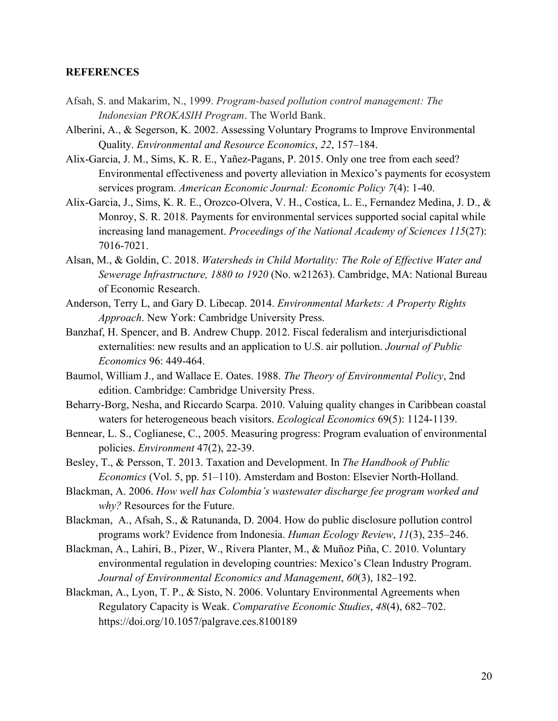# **REFERENCES**

- Afsah, S. and Makarim, N., 1999. *Program-based pollution control management: The Indonesian PROKASIH Program*. The World Bank.
- Alberini, A., & Segerson, K. 2002. Assessing Voluntary Programs to Improve Environmental Quality. *Environmental and Resource Economics*, *22*, 157–184.
- Alix-Garcia, J. M., Sims, K. R. E., Yañez-Pagans, P. 2015. Only one tree from each seed? Environmental effectiveness and poverty alleviation in Mexico's payments for ecosystem services program. *American Economic Journal: Economic Policy 7*(4): 1-40.
- Alix-Garcia, J., Sims, K. R. E., Orozco-Olvera, V. H., Costica, L. E., Fernandez Medina, J. D., & Monroy, S. R. 2018. Payments for environmental services supported social capital while increasing land management. *Proceedings of the National Academy of Sciences 115*(27): 7016-7021.
- Alsan, M., & Goldin, C. 2018. *Watersheds in Child Mortality: The Role of Effective Water and Sewerage Infrastructure, 1880 to 1920* (No. w21263). Cambridge, MA: National Bureau of Economic Research.
- Anderson, Terry L, and Gary D. Libecap. 2014. *Environmental Markets: A Property Rights Approach*. New York: Cambridge University Press.
- Banzhaf, H. Spencer, and B. Andrew Chupp. 2012. Fiscal federalism and interjurisdictional externalities: new results and an application to U.S. air pollution. *Journal of Public Economics* 96: 449-464.
- Baumol, William J., and Wallace E. Oates. 1988. *The Theory of Environmental Policy*, 2nd edition. Cambridge: Cambridge University Press.
- Beharry-Borg, Nesha, and Riccardo Scarpa. 2010. Valuing quality changes in Caribbean coastal waters for heterogeneous beach visitors. *Ecological Economics* 69(5): 1124-1139.
- Bennear, L. S., Coglianese, C., 2005. Measuring progress: Program evaluation of environmental policies. *Environment* 47(2), 22-39.
- Besley, T., & Persson, T. 2013. Taxation and Development. In *The Handbook of Public Economics* (Vol. 5, pp. 51–110). Amsterdam and Boston: Elsevier North-Holland.
- Blackman, A. 2006. *How well has Colombia's wastewater discharge fee program worked and why?* Resources for the Future.
- Blackman, A., Afsah, S., & Ratunanda, D. 2004. How do public disclosure pollution control programs work? Evidence from Indonesia. *Human Ecology Review*, *11*(3), 235–246.
- Blackman, A., Lahiri, B., Pizer, W., Rivera Planter, M., & Muñoz Piña, C. 2010. Voluntary environmental regulation in developing countries: Mexico's Clean Industry Program. *Journal of Environmental Economics and Management*, *60*(3), 182–192.
- Blackman, A., Lyon, T. P., & Sisto, N. 2006. Voluntary Environmental Agreements when Regulatory Capacity is Weak. *Comparative Economic Studies*, *48*(4), 682–702. https://doi.org/10.1057/palgrave.ces.8100189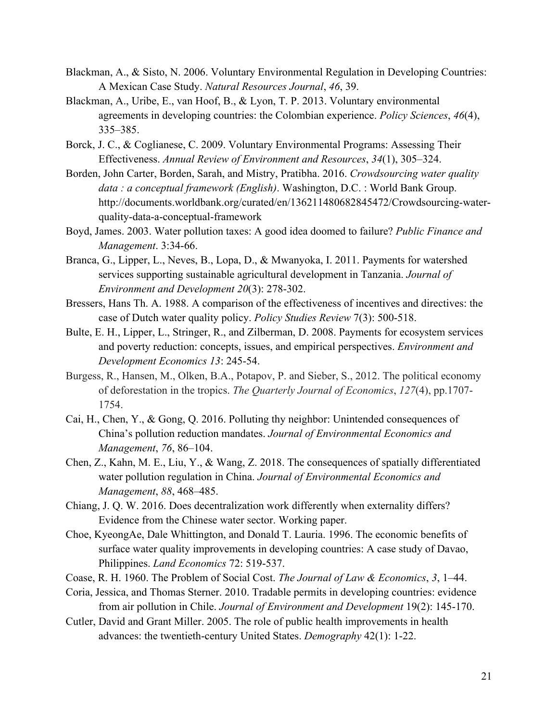- Blackman, A., & Sisto, N. 2006. Voluntary Environmental Regulation in Developing Countries: A Mexican Case Study. *Natural Resources Journal*, *46*, 39.
- Blackman, A., Uribe, E., van Hoof, B., & Lyon, T. P. 2013. Voluntary environmental agreements in developing countries: the Colombian experience. *Policy Sciences*, *46*(4), 335–385.
- Borck, J. C., & Coglianese, C. 2009. Voluntary Environmental Programs: Assessing Their Effectiveness. *Annual Review of Environment and Resources*, *34*(1), 305–324.
- Borden, John Carter, Borden, Sarah, and Mistry, Pratibha. 2016. *Crowdsourcing water quality data : a conceptual framework (English)*. Washington, D.C. : World Bank Group. http://documents.worldbank.org/curated/en/136211480682845472/Crowdsourcing-waterquality-data-a-conceptual-framework
- Boyd, James. 2003. Water pollution taxes: A good idea doomed to failure? *Public Finance and Management*. 3:34-66.
- Branca, G., Lipper, L., Neves, B., Lopa, D., & Mwanyoka, I. 2011. Payments for watershed services supporting sustainable agricultural development in Tanzania. *Journal of Environment and Development 20*(3): 278-302.
- Bressers, Hans Th. A. 1988. A comparison of the effectiveness of incentives and directives: the case of Dutch water quality policy. *Policy Studies Review* 7(3): 500-518.
- Bulte, E. H., Lipper, L., Stringer, R., and Zilberman, D. 2008. Payments for ecosystem services and poverty reduction: concepts, issues, and empirical perspectives. *Environment and Development Economics 13*: 245-54.
- Burgess, R., Hansen, M., Olken, B.A., Potapov, P. and Sieber, S., 2012. The political economy of deforestation in the tropics. *The Quarterly Journal of Economics*, *127*(4), pp.1707- 1754.
- Cai, H., Chen, Y., & Gong, Q. 2016. Polluting thy neighbor: Unintended consequences of China's pollution reduction mandates. *Journal of Environmental Economics and Management*, *76*, 86–104.
- Chen, Z., Kahn, M. E., Liu, Y., & Wang, Z. 2018. The consequences of spatially differentiated water pollution regulation in China. *Journal of Environmental Economics and Management*, *88*, 468–485.
- Chiang, J. Q. W. 2016. Does decentralization work differently when externality differs? Evidence from the Chinese water sector. Working paper.
- Choe, KyeongAe, Dale Whittington, and Donald T. Lauria. 1996. The economic benefits of surface water quality improvements in developing countries: A case study of Davao, Philippines. *Land Economics* 72: 519-537.
- Coase, R. H. 1960. The Problem of Social Cost. *The Journal of Law & Economics*, *3*, 1–44.
- Coria, Jessica, and Thomas Sterner. 2010. Tradable permits in developing countries: evidence from air pollution in Chile. *Journal of Environment and Development* 19(2): 145-170.
- Cutler, David and Grant Miller. 2005. The role of public health improvements in health advances: the twentieth-century United States. *Demography* 42(1): 1-22.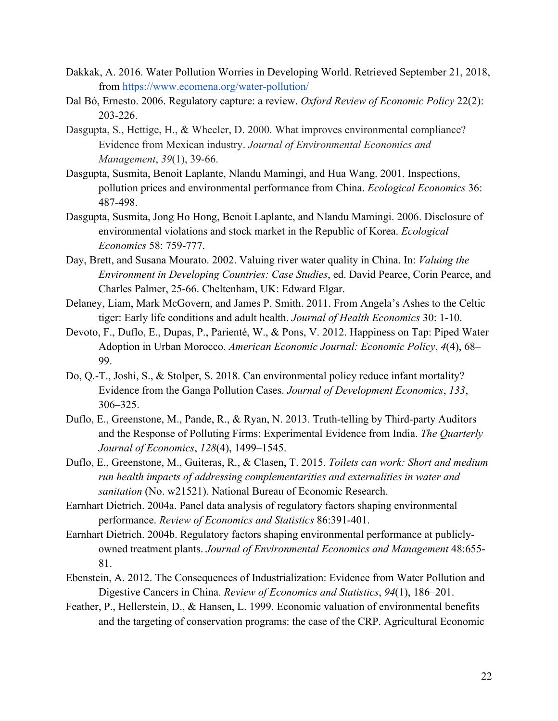- Dakkak, A. 2016. Water Pollution Worries in Developing World. Retrieved September 21, 2018, from https://www.ecomena.org/water-pollution/
- Dal Bó, Ernesto. 2006. Regulatory capture: a review. *Oxford Review of Economic Policy* 22(2): 203-226.
- Dasgupta, S., Hettige, H., & Wheeler, D. 2000. What improves environmental compliance? Evidence from Mexican industry. *Journal of Environmental Economics and Management*, *39*(1), 39-66.
- Dasgupta, Susmita, Benoit Laplante, Nlandu Mamingi, and Hua Wang. 2001. Inspections, pollution prices and environmental performance from China. *Ecological Economics* 36: 487-498.
- Dasgupta, Susmita, Jong Ho Hong, Benoit Laplante, and Nlandu Mamingi. 2006. Disclosure of environmental violations and stock market in the Republic of Korea. *Ecological Economics* 58: 759-777.
- Day, Brett, and Susana Mourato. 2002. Valuing river water quality in China. In: *Valuing the Environment in Developing Countries: Case Studies*, ed. David Pearce, Corin Pearce, and Charles Palmer, 25-66. Cheltenham, UK: Edward Elgar.
- Delaney, Liam, Mark McGovern, and James P. Smith. 2011. From Angela's Ashes to the Celtic tiger: Early life conditions and adult health. *Journal of Health Economics* 30: 1-10.
- Devoto, F., Duflo, E., Dupas, P., Parienté, W., & Pons, V. 2012. Happiness on Tap: Piped Water Adoption in Urban Morocco. *American Economic Journal: Economic Policy*, *4*(4), 68– 99.
- Do, Q.-T., Joshi, S., & Stolper, S. 2018. Can environmental policy reduce infant mortality? Evidence from the Ganga Pollution Cases. *Journal of Development Economics*, *133*, 306–325.
- Duflo, E., Greenstone, M., Pande, R., & Ryan, N. 2013. Truth-telling by Third-party Auditors and the Response of Polluting Firms: Experimental Evidence from India. *The Quarterly Journal of Economics*, *128*(4), 1499–1545.
- Duflo, E., Greenstone, M., Guiteras, R., & Clasen, T. 2015. *Toilets can work: Short and medium run health impacts of addressing complementarities and externalities in water and sanitation* (No. w21521). National Bureau of Economic Research.
- Earnhart Dietrich. 2004a. Panel data analysis of regulatory factors shaping environmental performance. *Review of Economics and Statistics* 86:391-401.
- Earnhart Dietrich. 2004b. Regulatory factors shaping environmental performance at publiclyowned treatment plants. *Journal of Environmental Economics and Management* 48:655- 81.
- Ebenstein, A. 2012. The Consequences of Industrialization: Evidence from Water Pollution and Digestive Cancers in China. *Review of Economics and Statistics*, *94*(1), 186–201.
- Feather, P., Hellerstein, D., & Hansen, L. 1999. Economic valuation of environmental benefits and the targeting of conservation programs: the case of the CRP. Agricultural Economic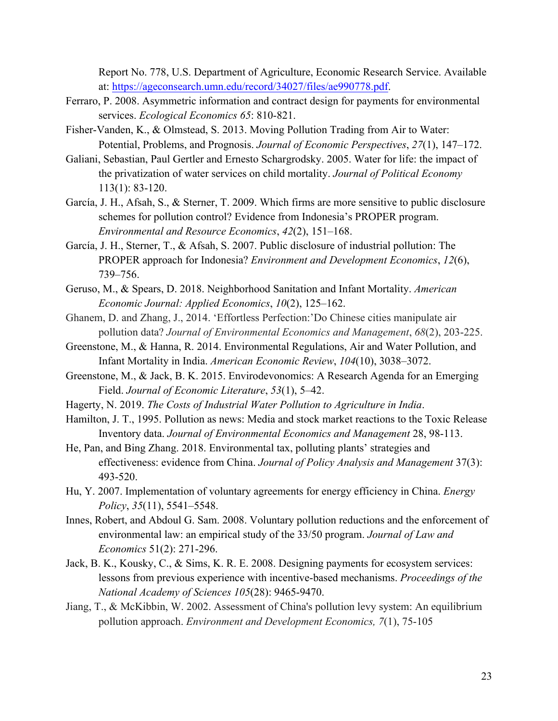Report No. 778, U.S. Department of Agriculture, Economic Research Service. Available at: https://ageconsearch.umn.edu/record/34027/files/ae990778.pdf.

- Ferraro, P. 2008. Asymmetric information and contract design for payments for environmental services. *Ecological Economics 65*: 810-821.
- Fisher-Vanden, K., & Olmstead, S. 2013. Moving Pollution Trading from Air to Water: Potential, Problems, and Prognosis. *Journal of Economic Perspectives*, *27*(1), 147–172.
- Galiani, Sebastian, Paul Gertler and Ernesto Schargrodsky. 2005. Water for life: the impact of the privatization of water services on child mortality. *Journal of Political Economy* 113(1): 83-120.
- García, J. H., Afsah, S., & Sterner, T. 2009. Which firms are more sensitive to public disclosure schemes for pollution control? Evidence from Indonesia's PROPER program. *Environmental and Resource Economics*, *42*(2), 151–168.
- García, J. H., Sterner, T., & Afsah, S. 2007. Public disclosure of industrial pollution: The PROPER approach for Indonesia? *Environment and Development Economics*, *12*(6), 739–756.
- Geruso, M., & Spears, D. 2018. Neighborhood Sanitation and Infant Mortality. *American Economic Journal: Applied Economics*, *10*(2), 125–162.
- Ghanem, D. and Zhang, J., 2014. 'Effortless Perfection:'Do Chinese cities manipulate air pollution data? *Journal of Environmental Economics and Management*, *68*(2), 203-225.
- Greenstone, M., & Hanna, R. 2014. Environmental Regulations, Air and Water Pollution, and Infant Mortality in India. *American Economic Review*, *104*(10), 3038–3072.
- Greenstone, M., & Jack, B. K. 2015. Envirodevonomics: A Research Agenda for an Emerging Field. *Journal of Economic Literature*, *53*(1), 5–42.
- Hagerty, N. 2019. *The Costs of Industrial Water Pollution to Agriculture in India*.
- Hamilton, J. T., 1995. Pollution as news: Media and stock market reactions to the Toxic Release Inventory data. *Journal of Environmental Economics and Management* 28, 98-113.
- He, Pan, and Bing Zhang. 2018. Environmental tax, polluting plants' strategies and effectiveness: evidence from China. *Journal of Policy Analysis and Management* 37(3): 493-520.
- Hu, Y. 2007. Implementation of voluntary agreements for energy efficiency in China. *Energy Policy*, *35*(11), 5541–5548.
- Innes, Robert, and Abdoul G. Sam. 2008. Voluntary pollution reductions and the enforcement of environmental law: an empirical study of the 33/50 program. *Journal of Law and Economics* 51(2): 271-296.
- Jack, B. K., Kousky, C., & Sims, K. R. E. 2008. Designing payments for ecosystem services: lessons from previous experience with incentive-based mechanisms. *Proceedings of the National Academy of Sciences 105*(28): 9465-9470.
- Jiang, T., & McKibbin, W. 2002. Assessment of China's pollution levy system: An equilibrium pollution approach. *Environment and Development Economics, 7*(1), 75-105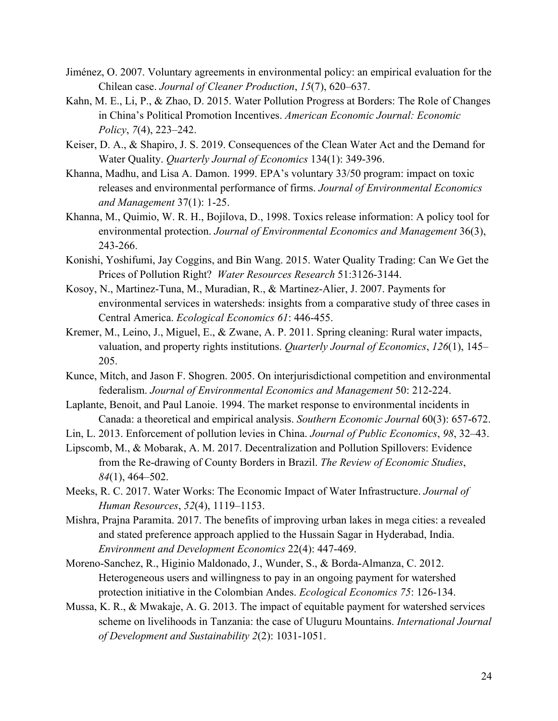- Jiménez, O. 2007. Voluntary agreements in environmental policy: an empirical evaluation for the Chilean case. *Journal of Cleaner Production*, *15*(7), 620–637.
- Kahn, M. E., Li, P., & Zhao, D. 2015. Water Pollution Progress at Borders: The Role of Changes in China's Political Promotion Incentives. *American Economic Journal: Economic Policy*, *7*(4), 223–242.
- Keiser, D. A., & Shapiro, J. S. 2019. Consequences of the Clean Water Act and the Demand for Water Quality. *Quarterly Journal of Economics* 134(1): 349-396.
- Khanna, Madhu, and Lisa A. Damon. 1999. EPA's voluntary 33/50 program: impact on toxic releases and environmental performance of firms. *Journal of Environmental Economics and Management* 37(1): 1-25.
- Khanna, M., Quimio, W. R. H., Bojilova, D., 1998. Toxics release information: A policy tool for environmental protection. *Journal of Environmental Economics and Management* 36(3), 243-266.
- Konishi, Yoshifumi, Jay Coggins, and Bin Wang. 2015. Water Quality Trading: Can We Get the Prices of Pollution Right? *Water Resources Research* 51:3126-3144.
- Kosoy, N., Martinez-Tuna, M., Muradian, R., & Martinez-Alier, J. 2007. Payments for environmental services in watersheds: insights from a comparative study of three cases in Central America. *Ecological Economics 61*: 446-455.
- Kremer, M., Leino, J., Miguel, E., & Zwane, A. P. 2011. Spring cleaning: Rural water impacts, valuation, and property rights institutions. *Quarterly Journal of Economics*, *126*(1), 145– 205.
- Kunce, Mitch, and Jason F. Shogren. 2005. On interjurisdictional competition and environmental federalism. *Journal of Environmental Economics and Management* 50: 212-224.
- Laplante, Benoit, and Paul Lanoie. 1994. The market response to environmental incidents in Canada: a theoretical and empirical analysis. *Southern Economic Journal* 60(3): 657-672.
- Lin, L. 2013. Enforcement of pollution levies in China. *Journal of Public Economics*, *98*, 32–43.
- Lipscomb, M., & Mobarak, A. M. 2017. Decentralization and Pollution Spillovers: Evidence from the Re-drawing of County Borders in Brazil. *The Review of Economic Studies*, *84*(1), 464–502.
- Meeks, R. C. 2017. Water Works: The Economic Impact of Water Infrastructure. *Journal of Human Resources*, *52*(4), 1119–1153.
- Mishra, Prajna Paramita. 2017. The benefits of improving urban lakes in mega cities: a revealed and stated preference approach applied to the Hussain Sagar in Hyderabad, India. *Environment and Development Economics* 22(4): 447-469.
- Moreno-Sanchez, R., Higinio Maldonado, J., Wunder, S., & Borda-Almanza, C. 2012. Heterogeneous users and willingness to pay in an ongoing payment for watershed protection initiative in the Colombian Andes. *Ecological Economics 75*: 126-134.
- Mussa, K. R., & Mwakaje, A. G. 2013. The impact of equitable payment for watershed services scheme on livelihoods in Tanzania: the case of Uluguru Mountains. *International Journal of Development and Sustainability 2*(2): 1031-1051.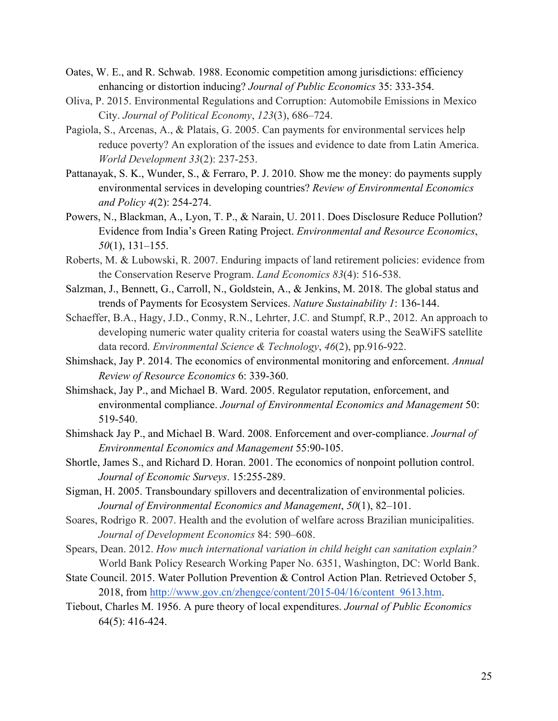- Oates, W. E., and R. Schwab. 1988. Economic competition among jurisdictions: efficiency enhancing or distortion inducing? *Journal of Public Economics* 35: 333-354.
- Oliva, P. 2015. Environmental Regulations and Corruption: Automobile Emissions in Mexico City. *Journal of Political Economy*, *123*(3), 686–724.
- Pagiola, S., Arcenas, A., & Platais, G. 2005. Can payments for environmental services help reduce poverty? An exploration of the issues and evidence to date from Latin America. *World Development 33*(2): 237-253.
- Pattanayak, S. K., Wunder, S., & Ferraro, P. J. 2010. Show me the money: do payments supply environmental services in developing countries? *Review of Environmental Economics and Policy 4*(2): 254-274.
- Powers, N., Blackman, A., Lyon, T. P., & Narain, U. 2011. Does Disclosure Reduce Pollution? Evidence from India's Green Rating Project. *Environmental and Resource Economics*, *50*(1), 131–155.
- Roberts, M. & Lubowski, R. 2007. Enduring impacts of land retirement policies: evidence from the Conservation Reserve Program. *Land Economics 83*(4): 516-538.
- Salzman, J., Bennett, G., Carroll, N., Goldstein, A., & Jenkins, M. 2018. The global status and trends of Payments for Ecosystem Services. *Nature Sustainability 1*: 136-144.
- Schaeffer, B.A., Hagy, J.D., Conmy, R.N., Lehrter, J.C. and Stumpf, R.P., 2012. An approach to developing numeric water quality criteria for coastal waters using the SeaWiFS satellite data record. *Environmental Science & Technology*, *46*(2), pp.916-922.
- Shimshack, Jay P. 2014. The economics of environmental monitoring and enforcement. *Annual Review of Resource Economics* 6: 339-360.
- Shimshack, Jay P., and Michael B. Ward. 2005. Regulator reputation, enforcement, and environmental compliance. *Journal of Environmental Economics and Management* 50: 519-540.
- Shimshack Jay P., and Michael B. Ward. 2008. Enforcement and over-compliance. *Journal of Environmental Economics and Management* 55:90-105.
- Shortle, James S., and Richard D. Horan. 2001. The economics of nonpoint pollution control. *Journal of Economic Surveys*. 15:255-289.
- Sigman, H. 2005. Transboundary spillovers and decentralization of environmental policies. *Journal of Environmental Economics and Management*, *50*(1), 82–101.
- Soares, Rodrigo R. 2007. Health and the evolution of welfare across Brazilian municipalities. *Journal of Development Economics* 84: 590–608.
- Spears, Dean. 2012. *How much international variation in child height can sanitation explain?*  World Bank Policy Research Working Paper No. 6351, Washington, DC: World Bank.
- State Council. 2015. Water Pollution Prevention & Control Action Plan. Retrieved October 5, 2018, from http://www.gov.cn/zhengce/content/2015-04/16/content\_9613.htm.
- Tiebout, Charles M. 1956. A pure theory of local expenditures. *Journal of Public Economics* 64(5): 416-424.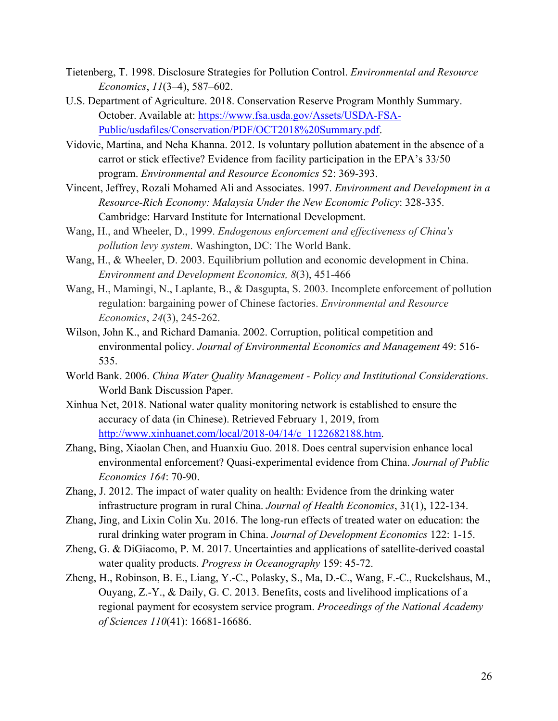- Tietenberg, T. 1998. Disclosure Strategies for Pollution Control. *Environmental and Resource Economics*, *11*(3–4), 587–602.
- U.S. Department of Agriculture. 2018. Conservation Reserve Program Monthly Summary. October. Available at: https://www.fsa.usda.gov/Assets/USDA-FSA-Public/usdafiles/Conservation/PDF/OCT2018%20Summary.pdf.
- Vidovic, Martina, and Neha Khanna. 2012. Is voluntary pollution abatement in the absence of a carrot or stick effective? Evidence from facility participation in the EPA's 33/50 program. *Environmental and Resource Economics* 52: 369-393.
- Vincent, Jeffrey, Rozali Mohamed Ali and Associates. 1997. *Environment and Development in a Resource-Rich Economy: Malaysia Under the New Economic Policy*: 328-335. Cambridge: Harvard Institute for International Development.
- Wang, H., and Wheeler, D., 1999. *Endogenous enforcement and effectiveness of China's pollution levy system*. Washington, DC: The World Bank.
- Wang, H., & Wheeler, D. 2003. Equilibrium pollution and economic development in China. *Environment and Development Economics, 8*(3), 451-466
- Wang, H., Mamingi, N., Laplante, B., & Dasgupta, S. 2003. Incomplete enforcement of pollution regulation: bargaining power of Chinese factories. *Environmental and Resource Economics*, *24*(3), 245-262.
- Wilson, John K., and Richard Damania. 2002. Corruption, political competition and environmental policy. *Journal of Environmental Economics and Management* 49: 516- 535.
- World Bank. 2006. *China Water Quality Management - Policy and Institutional Considerations*. World Bank Discussion Paper.
- Xinhua Net, 2018. National water quality monitoring network is established to ensure the accuracy of data (in Chinese). Retrieved February 1, 2019, from http://www.xinhuanet.com/local/2018-04/14/c\_1122682188.htm.
- Zhang, Bing, Xiaolan Chen, and Huanxiu Guo. 2018. Does central supervision enhance local environmental enforcement? Quasi-experimental evidence from China. *Journal of Public Economics 164*: 70-90.
- Zhang, J. 2012. The impact of water quality on health: Evidence from the drinking water infrastructure program in rural China. *Journal of Health Economics*, 31(1), 122-134.
- Zhang, Jing, and Lixin Colin Xu. 2016. The long-run effects of treated water on education: the rural drinking water program in China. *Journal of Development Economics* 122: 1-15.
- Zheng, G. & DiGiacomo, P. M. 2017. Uncertainties and applications of satellite-derived coastal water quality products. *Progress in Oceanography* 159: 45-72.
- Zheng, H., Robinson, B. E., Liang, Y.-C., Polasky, S., Ma, D.-C., Wang, F.-C., Ruckelshaus, M., Ouyang, Z.-Y., & Daily, G. C. 2013. Benefits, costs and livelihood implications of a regional payment for ecosystem service program. *Proceedings of the National Academy of Sciences 110*(41): 16681-16686.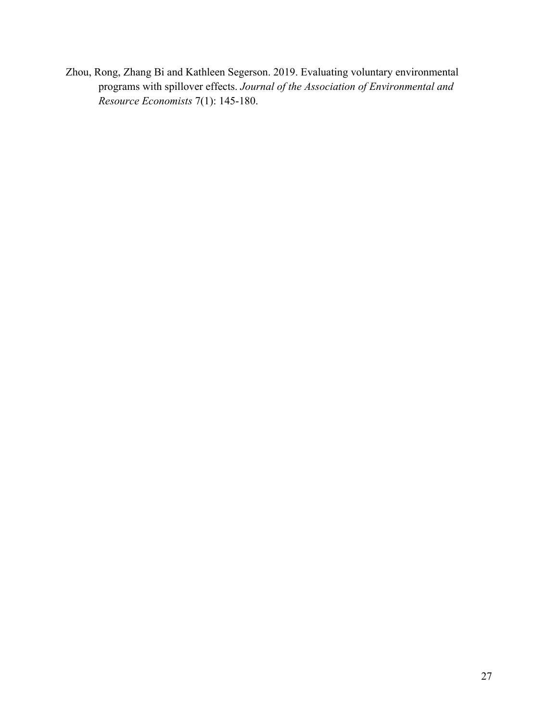Zhou, Rong, Zhang Bi and Kathleen Segerson. 2019. Evaluating voluntary environmental programs with spillover effects. *Journal of the Association of Environmental and Resource Economists* 7(1): 145-180.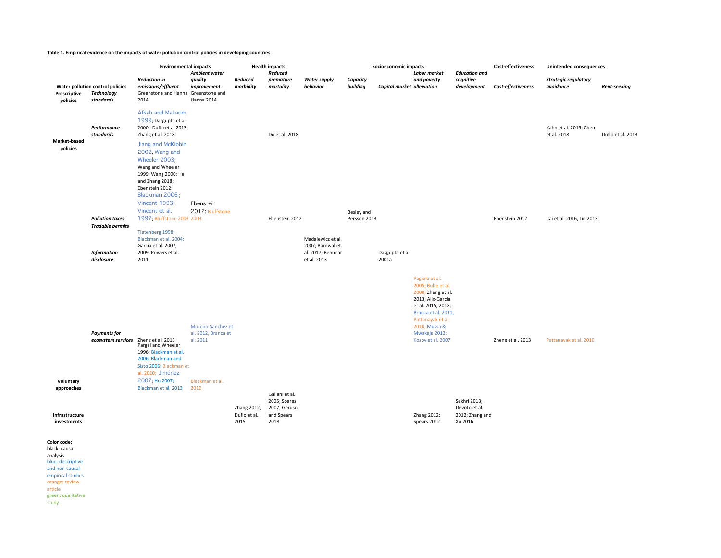#### Table 1. Empirical evidence on the impacts of water pollution control policies in developing countries

|                                                                                         |                                                             | <b>Environmental impacts</b><br>Ambient water                                                                                                                                               |                                                      | <b>Health impacts</b><br>Reduced    |                                                                      |                                                                           | Socioeconomic impacts<br><b>Labor market</b> |                            |                                                                                                                                                                                                          | <b>Education and</b>                                        | <b>Cost-effectiveness</b> | <b>Unintended consequences</b>           |                     |
|-----------------------------------------------------------------------------------------|-------------------------------------------------------------|---------------------------------------------------------------------------------------------------------------------------------------------------------------------------------------------|------------------------------------------------------|-------------------------------------|----------------------------------------------------------------------|---------------------------------------------------------------------------|----------------------------------------------|----------------------------|----------------------------------------------------------------------------------------------------------------------------------------------------------------------------------------------------------|-------------------------------------------------------------|---------------------------|------------------------------------------|---------------------|
| Water pollution control policies<br>Prescriptive<br>Technology<br>standards<br>policies |                                                             | <b>Reduction in</b><br>emissions/effluent<br>Greenstone and Hanna Greenstone and<br>2014                                                                                                    | quality<br>improvement<br>Hanna 2014                 | Reduced<br>morbidity                | premature<br>mortality                                               | <b>Water supply</b><br>behavior                                           | Capacity<br>building                         | Capital market alleviation | and poverty                                                                                                                                                                                              | cognitive<br>development                                    | Cost-effectiveness        | <b>Strategic regulatory</b><br>avoidance | <b>Rent-seeking</b> |
|                                                                                         | Performance<br>standards                                    | <b>Afsah and Makarim</b><br>1999; Dasgupta et al.<br>2000; Duflo et al 2013;<br>Zhang et al. 2018                                                                                           |                                                      |                                     | Do et al. 2018                                                       |                                                                           |                                              |                            |                                                                                                                                                                                                          |                                                             |                           | Kahn et al. 2015; Chen<br>et al. 2018    | Duflo et al. 2013   |
| Market-based<br>policies                                                                |                                                             | Jiang and McKibbin<br>2002; Wang and<br>Wheeler 2003;<br>Wang and Wheeler<br>1999; Wang 2000; He<br>and Zhang 2018;<br>Ebenstein 2012;<br>Blackman 2006;<br>Vincent 1993;<br>Vincent et al. | Ebenstein<br>2012; Bluffstone                        |                                     |                                                                      |                                                                           | Besley and                                   |                            |                                                                                                                                                                                                          |                                                             |                           |                                          |                     |
|                                                                                         | <b>Pollution taxes</b><br><b>Tradable permits</b>           | 1997; Bluffstone 2003 2003<br>Tietenberg 1998;                                                                                                                                              |                                                      |                                     | Ebenstein 2012                                                       |                                                                           | Persson 2013                                 |                            |                                                                                                                                                                                                          |                                                             | Ebenstein 2012            | Cai et al. 2016, Lin 2013                |                     |
|                                                                                         | <b>Information</b><br>disclosure                            | Blackman et al. 2004;<br>Garcia et al. 2007,<br>2009; Powers et al.<br>2011                                                                                                                 |                                                      |                                     |                                                                      | Madajewicz et al.<br>2007; Barnwal et<br>al. 2017; Bennear<br>et al. 2013 |                                              | Dasgupta et al.<br>2001a   |                                                                                                                                                                                                          |                                                             |                           |                                          |                     |
|                                                                                         | <b>Payments for</b><br>ecosystem services Zheng et al. 2013 | Pargal and Wheeler<br>1996; Blackman et al.<br>2006; Blackman and<br>Sisto 2006; Blackman et<br>al. 2010; Jiménez                                                                           | Moreno-Sanchez et<br>al. 2012, Branca et<br>al. 2011 |                                     |                                                                      |                                                                           |                                              |                            | Pagiola et al.<br>2005; Bulte et al.<br>2008; Zheng et al.<br>2013; Alix-Garcia<br>et al. 2015, 2018;<br>Branca et al. 2011;<br>Pattanayak et al.<br>2010, Mussa &<br>Mwakaje 2013;<br>Kosoy et al. 2007 |                                                             | Zheng et al. 2013         | Pattanayak et al. 2010                   |                     |
| Voluntary<br>approaches<br>Infrastructure<br>investments                                |                                                             | 2007; Hu 2007;<br>Blackman et al. 2013                                                                                                                                                      | Blackman et al.<br>2010                              | Zhang 2012;<br>Duflo et al.<br>2015 | Galiani et al.<br>2005; Soares<br>2007; Geruso<br>and Spears<br>2018 |                                                                           |                                              |                            | Zhang 2012;<br>Spears 2012                                                                                                                                                                               | Sekhri 2013;<br>Devoto et al.<br>2012; Zhang and<br>Xu 2016 |                           |                                          |                     |
| Color code:<br>black: causal<br>analysis                                                |                                                             |                                                                                                                                                                                             |                                                      |                                     |                                                                      |                                                                           |                                              |                            |                                                                                                                                                                                                          |                                                             |                           |                                          |                     |

analysis<br>blue: descriptive and non-causal empirical studies orange: review article green: qualitative study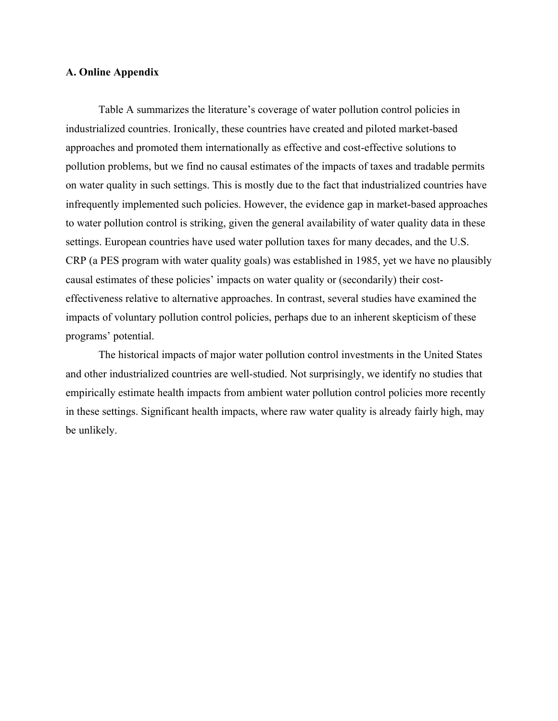# **A. Online Appendix**

Table A summarizes the literature's coverage of water pollution control policies in industrialized countries. Ironically, these countries have created and piloted market-based approaches and promoted them internationally as effective and cost-effective solutions to pollution problems, but we find no causal estimates of the impacts of taxes and tradable permits on water quality in such settings. This is mostly due to the fact that industrialized countries have infrequently implemented such policies. However, the evidence gap in market-based approaches to water pollution control is striking, given the general availability of water quality data in these settings. European countries have used water pollution taxes for many decades, and the U.S. CRP (a PES program with water quality goals) was established in 1985, yet we have no plausibly causal estimates of these policies' impacts on water quality or (secondarily) their costeffectiveness relative to alternative approaches. In contrast, several studies have examined the impacts of voluntary pollution control policies, perhaps due to an inherent skepticism of these programs' potential.

The historical impacts of major water pollution control investments in the United States and other industrialized countries are well-studied. Not surprisingly, we identify no studies that empirically estimate health impacts from ambient water pollution control policies more recently in these settings. Significant health impacts, where raw water quality is already fairly high, may be unlikely.